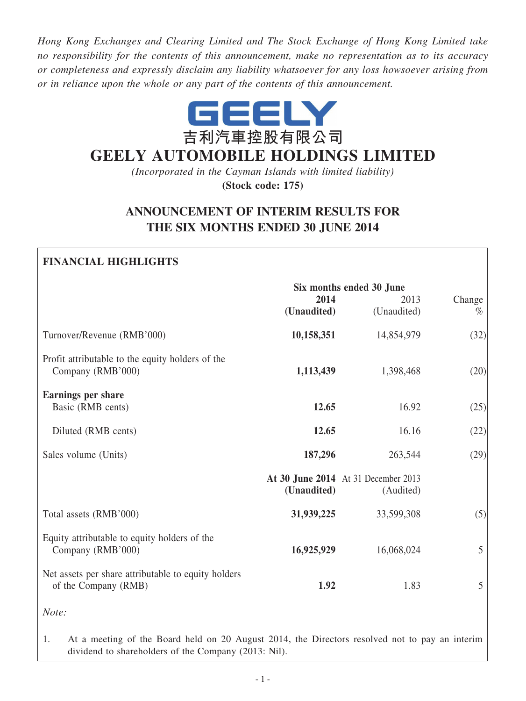*Hong Kong Exchanges and Clearing Limited and The Stock Exchange of Hong Kong Limited take no responsibility for the contents of this announcement, make no representation as to its accuracy or completeness and expressly disclaim any liability whatsoever for any loss howsoever arising from or in reliance upon the whole or any part of the contents of this announcement.*



# **GEELY AUTOMOBILE HOLDINGS LIMITED**

*(Incorporated in the Cayman Islands with limited liability)*

**(Stock code: 175)**

# **ANNOUNCEMENT OF INTERIM RESULTS FOR THE SIX MONTHS ENDED 30 JUNE 2014**

# **Financial Highlights Six months ended 30 June 2014** 2013 Change **(Unaudited)** (Unaudited) % Turnover/Revenue (RMB'000) **10,158,351** 14,854,979 (32) Profit attributable to the equity holders of the Company (RMB<sup>'000</sup>) **1,113,439** 1,398,468 (20) **Earnings per share** Basic (RMB cents) **12.65** 16.92 (25) **Diluted (RMB cents) 12.65** 16.16 (22) Sales volume (Units) **187,296** 263,544 (29) **At 30 June 2014** At 31 December 2013 **(Unaudited)** (Audited) Total assets (RMB<sup>'000)</sup> 31,939,225 33,599,308 (5) Equity attributable to equity holders of the Company (RMB'000) **16,925,929** 16,068,024 5 Net assets per share attributable to equity holders of the Company (RMB) **1.92** 1.83 5 *Note:*

1. At a meeting of the Board held on 20 August 2014, the Directors resolved not to pay an interim dividend to shareholders of the Company (2013: Nil).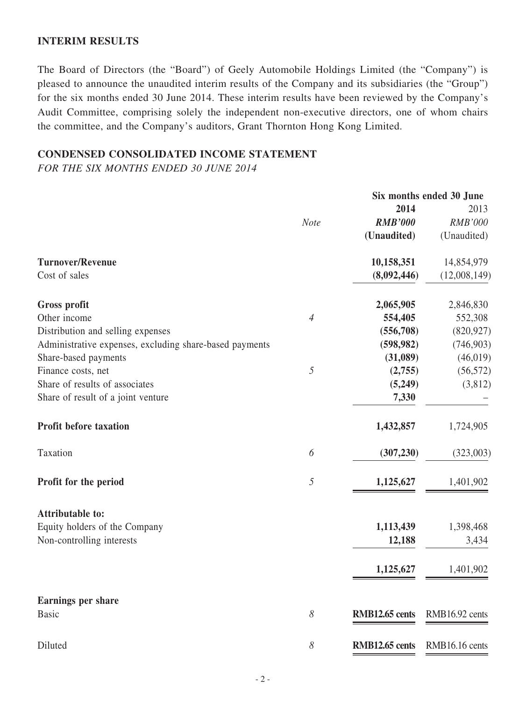# **INTERIM RESULTS**

The Board of Directors (the "Board") of Geely Automobile Holdings Limited (the "Company") is pleased to announce the unaudited interim results of the Company and its subsidiaries (the "Group") for the six months ended 30 June 2014. These interim results have been reviewed by the Company's Audit Committee, comprising solely the independent non-executive directors, one of whom chairs the committee, and the Company's auditors, Grant Thornton Hong Kong Limited.

# **CONDENSED CONSOLIDATED INCOME STATEMENT**

*FOR THE SIX MONTHS ENDED 30 JUNE 2014*

|                                                         |                       | Six months ended 30 June |                |
|---------------------------------------------------------|-----------------------|--------------------------|----------------|
|                                                         |                       | 2014                     | 2013           |
|                                                         | <b>Note</b>           | <b>RMB'000</b>           | RMB'000        |
|                                                         |                       | (Unaudited)              | (Unaudited)    |
| <b>Turnover/Revenue</b>                                 |                       | 10,158,351               | 14,854,979     |
| Cost of sales                                           |                       | (8,092,446)              | (12,008,149)   |
| <b>Gross profit</b>                                     |                       | 2,065,905                | 2,846,830      |
| Other income                                            | $\overline{4}$        | 554,405                  | 552,308        |
| Distribution and selling expenses                       |                       | (556,708)                | (820, 927)     |
| Administrative expenses, excluding share-based payments |                       | (598, 982)               | (746, 903)     |
| Share-based payments                                    |                       | (31,089)                 | (46, 019)      |
| Finance costs, net                                      | 5                     | (2,755)                  | (56, 572)      |
| Share of results of associates                          |                       | (5,249)                  | (3,812)        |
| Share of result of a joint venture                      |                       | 7,330                    |                |
| <b>Profit before taxation</b>                           |                       | 1,432,857                | 1,724,905      |
| Taxation                                                | 6                     | (307, 230)               | (323,003)      |
| Profit for the period                                   | 5                     | 1,125,627                | 1,401,902      |
| <b>Attributable to:</b>                                 |                       |                          |                |
| Equity holders of the Company                           |                       | 1,113,439                | 1,398,468      |
| Non-controlling interests                               |                       | 12,188                   | 3,434          |
|                                                         |                       | 1,125,627                | 1,401,902      |
| Earnings per share                                      |                       |                          |                |
| <b>Basic</b>                                            | $\boldsymbol{\delta}$ | RMB12.65 cents           | RMB16.92 cents |
| Diluted                                                 | $\delta$              | <b>RMB12.65 cents</b>    | RMB16.16 cents |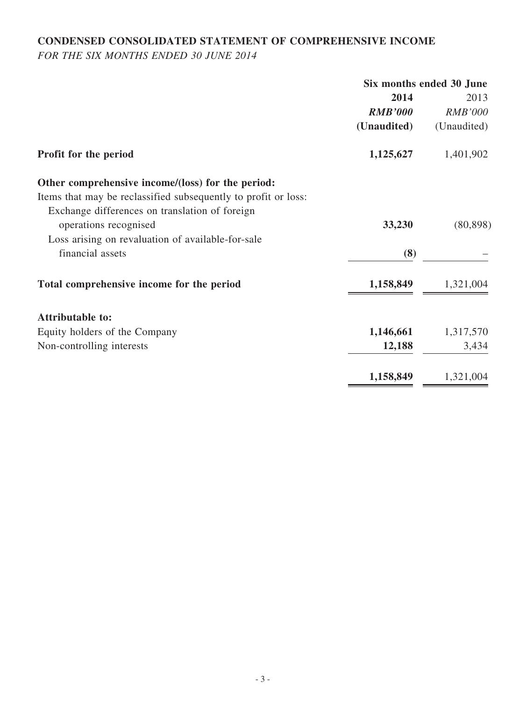# **CONDENSED CONSOLIDATED STATEMENT OF COMPREHENSIVE INCOME**

*FOR THE SIX MONTHS ENDED 30 JUNE 2014*

|                                                                | Six months ended 30 June |                |
|----------------------------------------------------------------|--------------------------|----------------|
|                                                                | 2014                     | 2013           |
|                                                                | <b>RMB'000</b>           | <b>RMB'000</b> |
|                                                                | (Unaudited)              | (Unaudited)    |
| Profit for the period                                          | 1,125,627                | 1,401,902      |
| Other comprehensive income/(loss) for the period:              |                          |                |
| Items that may be reclassified subsequently to profit or loss: |                          |                |
| Exchange differences on translation of foreign                 |                          |                |
| operations recognised                                          | 33,230                   | (80, 898)      |
| Loss arising on revaluation of available-for-sale              |                          |                |
| financial assets                                               | (8)                      |                |
| Total comprehensive income for the period                      | 1,158,849                | 1,321,004      |
| <b>Attributable to:</b>                                        |                          |                |
| Equity holders of the Company                                  | 1,146,661                | 1,317,570      |
| Non-controlling interests                                      | 12,188                   | 3,434          |
|                                                                | 1,158,849                | 1,321,004      |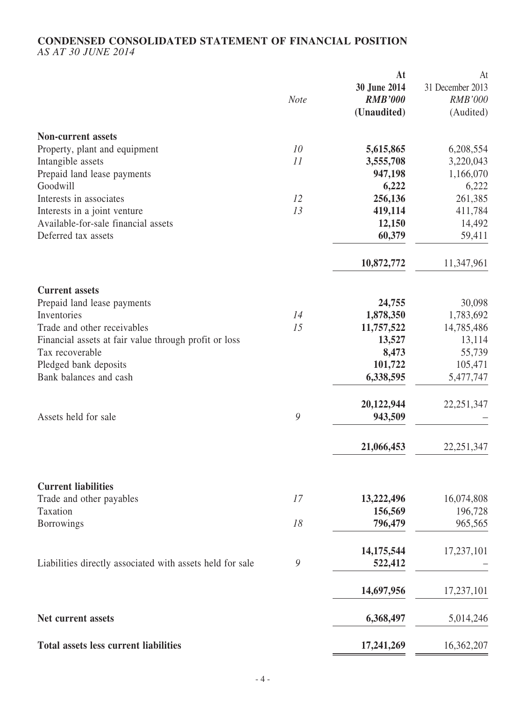# **CONDENSED CONSOLIDATED STATEMENT OF FINANCIAL POSITION** *AS AT 30 JUNE 2014*

|                                                           | <b>Note</b>   | At<br>30 June 2014<br><b>RMB'000</b><br>(Unaudited) | At<br>31 December 2013<br><b>RMB'000</b><br>(Audited) |
|-----------------------------------------------------------|---------------|-----------------------------------------------------|-------------------------------------------------------|
| <b>Non-current assets</b>                                 |               |                                                     |                                                       |
| Property, plant and equipment                             | 10            | 5,615,865                                           | 6,208,554                                             |
| Intangible assets                                         | 11            | 3,555,708                                           | 3,220,043                                             |
| Prepaid land lease payments                               |               | 947,198                                             | 1,166,070                                             |
| Goodwill                                                  |               | 6,222                                               | 6,222                                                 |
| Interests in associates                                   | 12            | 256,136                                             | 261,385                                               |
| Interests in a joint venture                              | 13            | 419,114                                             | 411,784                                               |
| Available-for-sale financial assets                       |               | 12,150                                              | 14,492                                                |
| Deferred tax assets                                       |               | 60,379                                              | 59,411                                                |
|                                                           |               | 10,872,772                                          | 11,347,961                                            |
| <b>Current assets</b>                                     |               |                                                     |                                                       |
| Prepaid land lease payments                               |               | 24,755                                              | 30,098                                                |
| Inventories                                               | 14            | 1,878,350                                           | 1,783,692                                             |
| Trade and other receivables                               | 15            | 11,757,522                                          | 14,785,486                                            |
| Financial assets at fair value through profit or loss     |               | 13,527                                              | 13,114                                                |
| Tax recoverable                                           |               | 8,473                                               | 55,739                                                |
| Pledged bank deposits                                     |               | 101,722                                             | 105,471                                               |
| Bank balances and cash                                    |               | 6,338,595                                           | 5,477,747                                             |
|                                                           |               | 20,122,944                                          | 22, 251, 347                                          |
| Assets held for sale                                      | 9             | 943,509                                             |                                                       |
|                                                           |               | 21,066,453                                          | 22, 251, 347                                          |
| <b>Current liabilities</b>                                |               |                                                     |                                                       |
| Trade and other payables                                  | 17            | 13,222,496                                          | 16,074,808                                            |
| Taxation                                                  |               | 156,569                                             | 196,728                                               |
| Borrowings                                                | 18            | 796,479                                             | 965,565                                               |
|                                                           |               | 14,175,544                                          | 17,237,101                                            |
| Liabilities directly associated with assets held for sale | $\mathcal{G}$ | 522,412                                             |                                                       |
|                                                           |               | 14,697,956                                          | 17,237,101                                            |
| Net current assets                                        |               | 6,368,497                                           | 5,014,246                                             |
| <b>Total assets less current liabilities</b>              |               | 17,241,269                                          | 16,362,207                                            |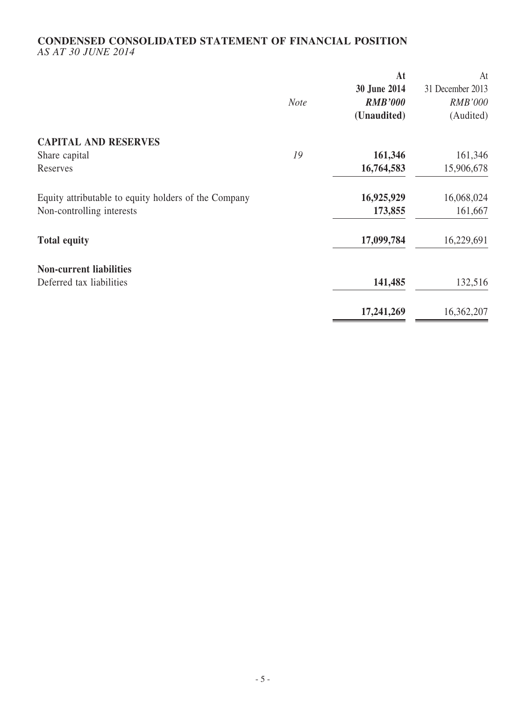# **CONDENSED CONSOLIDATED STATEMENT OF FINANCIAL POSITION** *AS AT 30 JUNE 2014*

|                                                      |             | At             | At               |
|------------------------------------------------------|-------------|----------------|------------------|
|                                                      |             | 30 June 2014   | 31 December 2013 |
|                                                      | <b>Note</b> | <b>RMB'000</b> | <b>RMB'000</b>   |
|                                                      |             | (Unaudited)    | (Audited)        |
| <b>CAPITAL AND RESERVES</b>                          |             |                |                  |
| Share capital                                        | 19          | 161,346        | 161,346          |
| Reserves                                             |             | 16,764,583     | 15,906,678       |
| Equity attributable to equity holders of the Company |             | 16,925,929     | 16,068,024       |
| Non-controlling interests                            |             | 173,855        | 161,667          |
| <b>Total equity</b>                                  |             | 17,099,784     | 16,229,691       |
| <b>Non-current liabilities</b>                       |             |                |                  |
| Deferred tax liabilities                             |             | 141,485        | 132,516          |
|                                                      |             | 17,241,269     | 16,362,207       |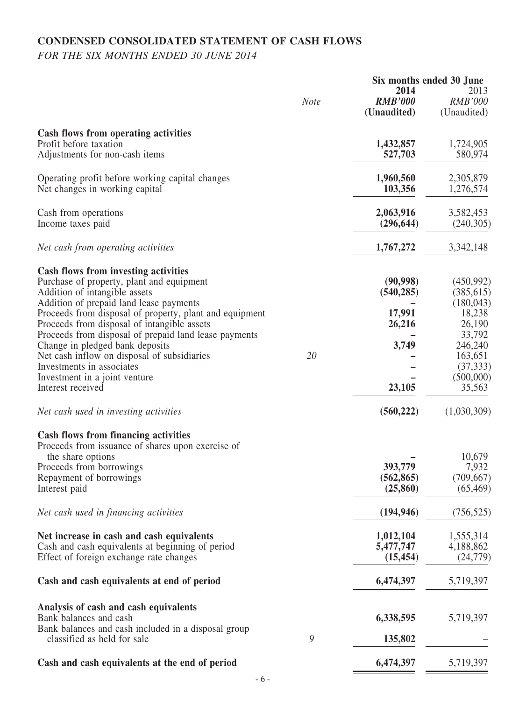# **CONDENSED CONSOLIDATED STATEMENT OF CASH FLOWS**

*FOR THE SIX MONTHS ENDED 30 JUNE 2014*

|                                                         |             |                               | Six months ended 30 June      |
|---------------------------------------------------------|-------------|-------------------------------|-------------------------------|
|                                                         |             | 2014                          | 2013                          |
|                                                         | <b>Note</b> | <b>RMB'000</b><br>(Unaudited) | <b>RMB'000</b><br>(Unaudited) |
|                                                         |             |                               |                               |
| Cash flows from operating activities                    |             |                               |                               |
| Profit before taxation                                  |             | 1,432,857                     | 1,724,905                     |
| Adjustments for non-cash items                          |             | 527,703                       | 580,974                       |
|                                                         |             |                               |                               |
| Operating profit before working capital changes         |             | 1,960,560                     | 2,305,879                     |
| Net changes in working capital                          |             | 103,356                       | 1,276,574                     |
| Cash from operations                                    |             | 2,063,916                     | 3,582,453                     |
| Income taxes paid                                       |             | (296, 644)                    | (240, 305)                    |
|                                                         |             |                               |                               |
| Net cash from operating activities                      |             | 1,767,272                     | 3, 342, 148                   |
| Cash flows from investing activities                    |             |                               |                               |
| Purchase of property, plant and equipment               |             | (90, 998)                     | (450,992)                     |
| Addition of intangible assets                           |             | (540, 285)                    | (385, 615)                    |
| Addition of prepaid land lease payments                 |             |                               | (180, 043)                    |
| Proceeds from disposal of property, plant and equipment |             | 17,991                        | 18,238                        |
| Proceeds from disposal of intangible assets             |             | 26,216                        | 26,190                        |
| Proceeds from disposal of prepaid land lease payments   |             |                               | 33,792                        |
| Change in pledged bank deposits                         |             | 3,749                         | 246,240                       |
| Net cash inflow on disposal of subsidiaries             | 20          |                               | 163,651                       |
| Investments in associates                               |             |                               | (37, 333)                     |
| Investment in a joint venture                           |             |                               | (500,000)                     |
| Interest received                                       |             | 23,105                        | 35,563                        |
| Net cash used in investing activities                   |             | (560, 222)                    | (1,030,309)                   |
|                                                         |             |                               |                               |
| <b>Cash flows from financing activities</b>             |             |                               |                               |
| Proceeds from issuance of shares upon exercise of       |             |                               |                               |
| the share options                                       |             |                               | 10,679                        |
| Proceeds from borrowings                                |             | 393,779                       | 7,932                         |
| Repayment of borrowings                                 |             | (562, 865)                    | (709, 667)                    |
| Interest paid                                           |             | (25, 860)                     | (65, 469)                     |
| Net cash used in financing activities                   |             | (194, 946)                    | (756, 525)                    |
|                                                         |             |                               |                               |
| Net increase in cash and cash equivalents               |             | 1,012,104                     | 1,555,314                     |
| Cash and cash equivalents at beginning of period        |             | 5,477,747                     | 4,188,862                     |
| Effect of foreign exchange rate changes                 |             | (15, 454)                     | (24,779)                      |
| Cash and cash equivalents at end of period              |             | 6,474,397                     | 5,719,397                     |
| Analysis of cash and cash equivalents                   |             |                               |                               |
| Bank balances and cash                                  |             | 6,338,595                     | 5,719,397                     |
| Bank balances and cash included in a disposal group     |             |                               |                               |
| classified as held for sale                             | 9           | 135,802                       |                               |
|                                                         |             |                               |                               |
| Cash and cash equivalents at the end of period          |             | 6,474,397                     | 5,719,397                     |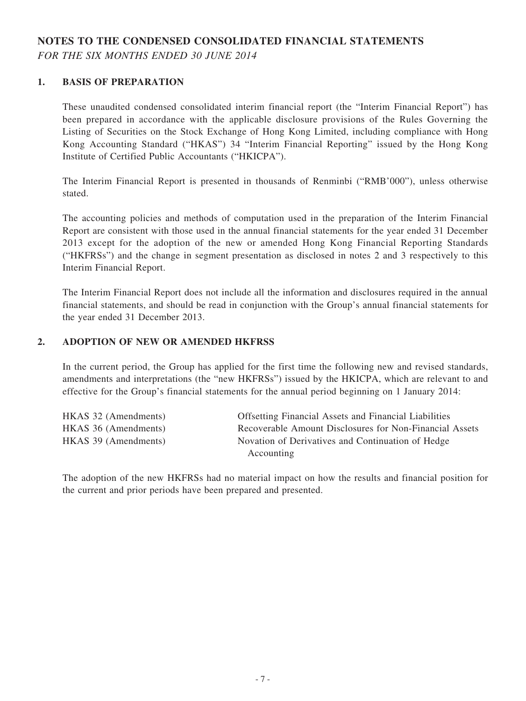# **NOTES TO THE CONDENSED CONSOLIDATED FINANCIAL STATEMENTS**

*FOR THE SIX MONTHS ENDED 30 JUNE 2014*

### **1. BASIS OF PREPARATION**

These unaudited condensed consolidated interim financial report (the "Interim Financial Report") has been prepared in accordance with the applicable disclosure provisions of the Rules Governing the Listing of Securities on the Stock Exchange of Hong Kong Limited, including compliance with Hong Kong Accounting Standard ("HKAS") 34 "Interim Financial Reporting" issued by the Hong Kong Institute of Certified Public Accountants ("HKICPA").

The Interim Financial Report is presented in thousands of Renminbi ("RMB'000"), unless otherwise stated.

The accounting policies and methods of computation used in the preparation of the Interim Financial Report are consistent with those used in the annual financial statements for the year ended 31 December 2013 except for the adoption of the new or amended Hong Kong Financial Reporting Standards ("HKFRSs") and the change in segment presentation as disclosed in notes 2 and 3 respectively to this Interim Financial Report.

The Interim Financial Report does not include all the information and disclosures required in the annual financial statements, and should be read in conjunction with the Group's annual financial statements for the year ended 31 December 2013.

### **2. ADOPTION OF NEW OR AMENDED HKFRSs**

In the current period, the Group has applied for the first time the following new and revised standards, amendments and interpretations (the "new HKFRSs") issued by the HKICPA, which are relevant to and effective for the Group's financial statements for the annual period beginning on 1 January 2014:

| HKAS 32 (Amendments) | <b>Offsetting Financial Assets and Financial Liabilities</b> |  |
|----------------------|--------------------------------------------------------------|--|
| HKAS 36 (Amendments) | Recoverable Amount Disclosures for Non-Financial Assets      |  |
| HKAS 39 (Amendments) | Novation of Derivatives and Continuation of Hedge            |  |
| Accounting           |                                                              |  |

The adoption of the new HKFRSs had no material impact on how the results and financial position for the current and prior periods have been prepared and presented.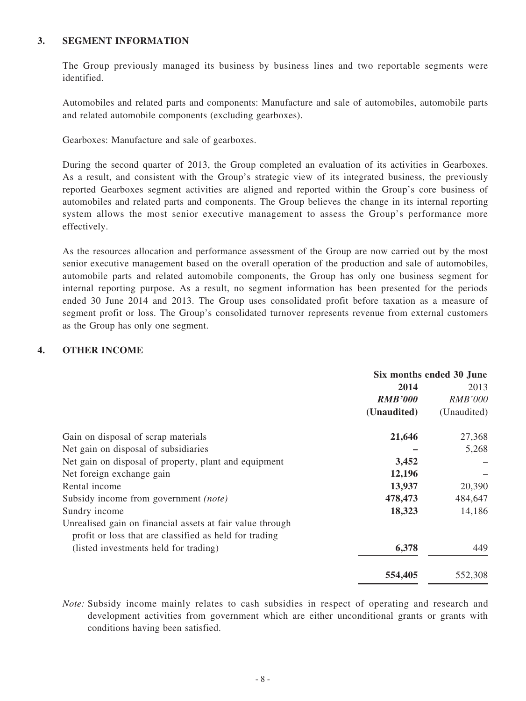### **3. SEGMENT INFORMATION**

The Group previously managed its business by business lines and two reportable segments were identified.

Automobiles and related parts and components: Manufacture and sale of automobiles, automobile parts and related automobile components (excluding gearboxes).

Gearboxes: Manufacture and sale of gearboxes.

During the second quarter of 2013, the Group completed an evaluation of its activities in Gearboxes. As a result, and consistent with the Group's strategic view of its integrated business, the previously reported Gearboxes segment activities are aligned and reported within the Group's core business of automobiles and related parts and components. The Group believes the change in its internal reporting system allows the most senior executive management to assess the Group's performance more effectively.

As the resources allocation and performance assessment of the Group are now carried out by the most senior executive management based on the overall operation of the production and sale of automobiles, automobile parts and related automobile components, the Group has only one business segment for internal reporting purpose. As a result, no segment information has been presented for the periods ended 30 June 2014 and 2013. The Group uses consolidated profit before taxation as a measure of segment profit or loss. The Group's consolidated turnover represents revenue from external customers as the Group has only one segment.

# **4. OTHER INCOME**

|                                                           | Six months ended 30 June |                |
|-----------------------------------------------------------|--------------------------|----------------|
|                                                           | 2014                     | 2013           |
|                                                           | <b>RMB'000</b>           | <i>RMB'000</i> |
|                                                           | (Unaudited)              | (Unaudited)    |
| Gain on disposal of scrap materials                       | 21,646                   | 27,368         |
| Net gain on disposal of subsidiaries                      |                          | 5,268          |
| Net gain on disposal of property, plant and equipment     | 3,452                    |                |
| Net foreign exchange gain                                 | 12,196                   |                |
| Rental income                                             | 13,937                   | 20,390         |
| Subsidy income from government <i>(note)</i>              | 478,473                  | 484,647        |
| Sundry income                                             | 18,323                   | 14,186         |
| Unrealised gain on financial assets at fair value through |                          |                |
| profit or loss that are classified as held for trading    |                          |                |
| (listed investments held for trading)                     | 6,378                    | 449            |
|                                                           | 554,405                  | 552,308        |

*Note:* Subsidy income mainly relates to cash subsidies in respect of operating and research and development activities from government which are either unconditional grants or grants with conditions having been satisfied.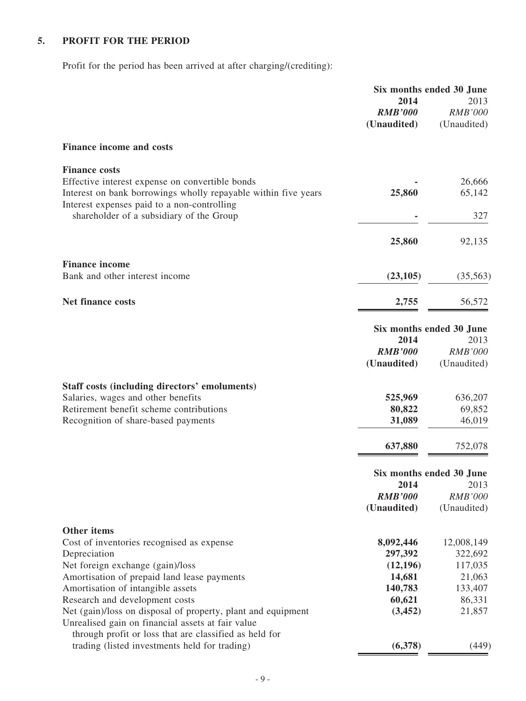# **5. PROFIT FOR THE PERIOD**

Profit for the period has been arrived at after charging/(crediting):

|                                                                                                                   | Six months ended 30 June |                          |
|-------------------------------------------------------------------------------------------------------------------|--------------------------|--------------------------|
|                                                                                                                   | 2014                     | 2013                     |
|                                                                                                                   | <b>RMB'000</b>           | <b>RMB'000</b>           |
|                                                                                                                   | (Unaudited)              | (Unaudited)              |
| <b>Finance income and costs</b>                                                                                   |                          |                          |
| <b>Finance costs</b>                                                                                              |                          |                          |
| Effective interest expense on convertible bonds                                                                   |                          | 26,666                   |
| Interest on bank borrowings wholly repayable within five years                                                    | 25,860                   | 65,142                   |
| Interest expenses paid to a non-controlling                                                                       |                          |                          |
| shareholder of a subsidiary of the Group                                                                          |                          | 327                      |
|                                                                                                                   | 25,860                   | 92,135                   |
|                                                                                                                   |                          |                          |
| <b>Finance income</b>                                                                                             |                          |                          |
| Bank and other interest income                                                                                    | (23, 105)                | (35,563)                 |
| <b>Net finance costs</b>                                                                                          | 2,755                    | 56,572                   |
|                                                                                                                   |                          |                          |
|                                                                                                                   |                          | Six months ended 30 June |
|                                                                                                                   | 2014                     | 2013                     |
|                                                                                                                   | <b>RMB'000</b>           | <b>RMB'000</b>           |
|                                                                                                                   | (Unaudited)              | (Unaudited)              |
| Staff costs (including directors' emoluments)                                                                     |                          |                          |
| Salaries, wages and other benefits                                                                                | 525,969                  | 636,207                  |
| Retirement benefit scheme contributions                                                                           | 80,822                   | 69,852                   |
| Recognition of share-based payments                                                                               | 31,089                   | 46,019                   |
|                                                                                                                   | 637,880                  | 752,078                  |
|                                                                                                                   |                          |                          |
|                                                                                                                   |                          | Six months ended 30 June |
|                                                                                                                   | 2014                     | 2013                     |
|                                                                                                                   | <b>RMB'000</b>           | <b>RMB'000</b>           |
|                                                                                                                   | (Unaudited)              | (Unaudited)              |
| <b>Other items</b>                                                                                                |                          |                          |
| Cost of inventories recognised as expense                                                                         | 8,092,446                | 12,008,149               |
| Depreciation                                                                                                      | 297,392                  | 322,692                  |
| Net foreign exchange (gain)/loss                                                                                  | (12, 196)                | 117,035                  |
| Amortisation of prepaid land lease payments                                                                       | 14,681                   | 21,063                   |
| Amortisation of intangible assets                                                                                 | 140,783                  | 133,407                  |
| Research and development costs                                                                                    | 60,621                   | 86,331                   |
| Net (gain)/loss on disposal of property, plant and equipment<br>Unrealised gain on financial assets at fair value | (3, 452)                 | 21,857                   |
| through profit or loss that are classified as held for                                                            |                          |                          |
| trading (listed investments held for trading)                                                                     | (6,378)                  | (449)                    |
|                                                                                                                   |                          |                          |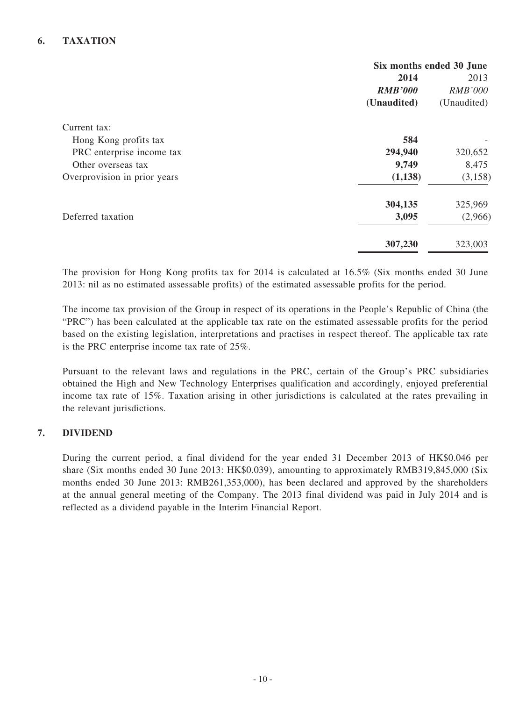# **6. TAXATION**

|                              | Six months ended 30 June |                |
|------------------------------|--------------------------|----------------|
|                              | 2014                     | 2013           |
|                              | <b>RMB'000</b>           | <b>RMB'000</b> |
|                              | (Unaudited)              | (Unaudited)    |
| Current tax:                 |                          |                |
| Hong Kong profits tax        | 584                      |                |
| PRC enterprise income tax    | 294,940                  | 320,652        |
| Other overseas tax           | 9,749                    | 8,475          |
| Overprovision in prior years | (1,138)                  | (3, 158)       |
|                              | 304,135                  | 325,969        |
| Deferred taxation            | 3,095                    | (2,966)        |
|                              | 307,230                  | 323,003        |

The provision for Hong Kong profits tax for 2014 is calculated at 16.5% (Six months ended 30 June 2013: nil as no estimated assessable profits) of the estimated assessable profits for the period.

The income tax provision of the Group in respect of its operations in the People's Republic of China (the "PRC") has been calculated at the applicable tax rate on the estimated assessable profits for the period based on the existing legislation, interpretations and practises in respect thereof. The applicable tax rate is the PRC enterprise income tax rate of 25%.

Pursuant to the relevant laws and regulations in the PRC, certain of the Group's PRC subsidiaries obtained the High and New Technology Enterprises qualification and accordingly, enjoyed preferential income tax rate of 15%. Taxation arising in other jurisdictions is calculated at the rates prevailing in the relevant jurisdictions.

#### **7. DIVIDEND**

During the current period, a final dividend for the year ended 31 December 2013 of HK\$0.046 per share (Six months ended 30 June 2013: HK\$0.039), amounting to approximately RMB319,845,000 (Six months ended 30 June 2013: RMB261,353,000), has been declared and approved by the shareholders at the annual general meeting of the Company. The 2013 final dividend was paid in July 2014 and is reflected as a dividend payable in the Interim Financial Report.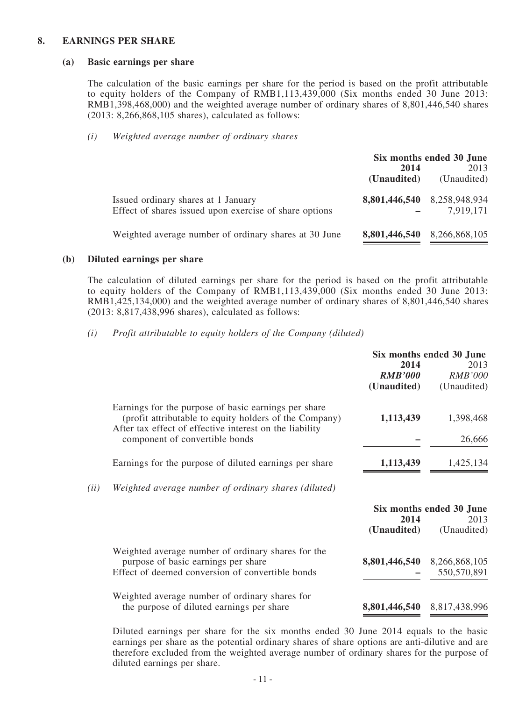#### **8. EARNINGS PER SHARE**

#### **(a) Basic earnings per share**

The calculation of the basic earnings per share for the period is based on the profit attributable to equity holders of the Company of RMB1,113,439,000 (Six months ended 30 June 2013: RMB1,398,468,000) and the weighted average number of ordinary shares of 8,801,446,540 shares (2013: 8,266,868,105 shares), calculated as follows:

#### *(i) Weighted average number of ordinary shares*

|                                                                                               | Six months ended 30 June    |             |
|-----------------------------------------------------------------------------------------------|-----------------------------|-------------|
|                                                                                               | 2014                        | 2013        |
|                                                                                               | (Unaudited)                 | (Unaudited) |
| Issued ordinary shares at 1 January<br>Effect of shares issued upon exercise of share options | 8,801,446,540 8,258,948,934 | 7,919,171   |
| Weighted average number of ordinary shares at 30 June                                         | 8,801,446,540 8,266,868,105 |             |

#### **(b) Diluted earnings per share**

The calculation of diluted earnings per share for the period is based on the profit attributable to equity holders of the Company of RMB1,113,439,000 (Six months ended 30 June 2013: RMB1,425,134,000) and the weighted average number of ordinary shares of 8,801,446,540 shares (2013: 8,817,438,996 shares), calculated as follows:

#### *(i) Profit attributable to equity holders of the Company (diluted)*

|      |                                                                                                                                                                           | 2014<br><b>RMB'000</b><br>(Unaudited) | Six months ended 30 June<br>2013<br><b>RMB'000</b><br>(Unaudited) |
|------|---------------------------------------------------------------------------------------------------------------------------------------------------------------------------|---------------------------------------|-------------------------------------------------------------------|
|      | Earnings for the purpose of basic earnings per share<br>(profit attributable to equity holders of the Company)<br>After tax effect of effective interest on the liability | 1,113,439                             | 1,398,468                                                         |
|      | component of convertible bonds                                                                                                                                            |                                       | 26,666                                                            |
|      | Earnings for the purpose of diluted earnings per share                                                                                                                    | 1,113,439                             | 1,425,134                                                         |
| (ii) | Weighted average number of ordinary shares (diluted)                                                                                                                      |                                       |                                                                   |
|      |                                                                                                                                                                           | 2014<br>(Unaudited)                   | Six months ended 30 June<br>2013<br>(Unaudited)                   |
|      | Weighted average number of ordinary shares for the<br>purpose of basic earnings per share                                                                                 | 8,801,446,540                         | 8,266,868,105                                                     |

# Weighted average number of ordinary shares for the purpose of diluted earnings per share **8,801,446,540** 8,817,438,996

Effect of deemed conversion of convertible bonds **–** 550,570,891

Diluted earnings per share for the six months ended 30 June 2014 equals to the basic earnings per share as the potential ordinary shares of share options are anti-dilutive and are therefore excluded from the weighted average number of ordinary shares for the purpose of diluted earnings per share.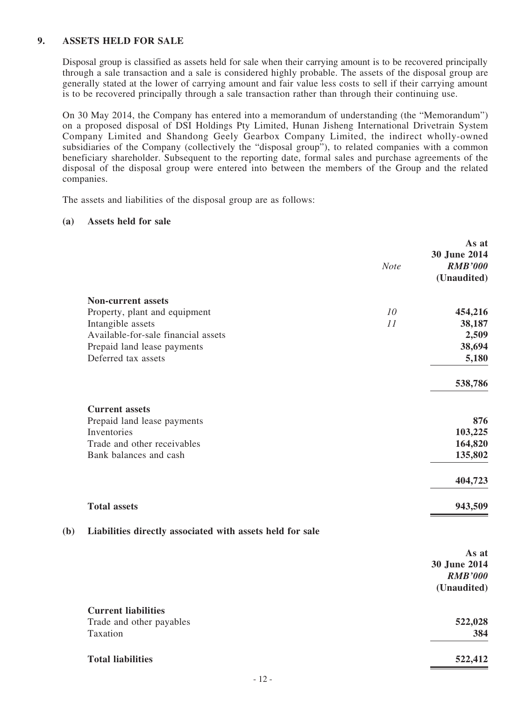### **9. ASSETS HELD FOR SALE**

Disposal group is classified as assets held for sale when their carrying amount is to be recovered principally through a sale transaction and a sale is considered highly probable. The assets of the disposal group are generally stated at the lower of carrying amount and fair value less costs to sell if their carrying amount is to be recovered principally through a sale transaction rather than through their continuing use.

On 30 May 2014, the Company has entered into a memorandum of understanding (the "Memorandum") on a proposed disposal of DSI Holdings Pty Limited, Hunan Jisheng International Drivetrain System Company Limited and Shandong Geely Gearbox Company Limited, the indirect wholly-owned subsidiaries of the Company (collectively the "disposal group"), to related companies with a common beneficiary shareholder. Subsequent to the reporting date, formal sales and purchase agreements of the disposal of the disposal group were entered into between the members of the Group and the related companies.

**As at**

The assets and liabilities of the disposal group are as follows:

#### **(a) Assets held for sale**

|                                                                  | <b>Note</b> | 30 June 2014<br><b>RMB'000</b><br>(Unaudited) |
|------------------------------------------------------------------|-------------|-----------------------------------------------|
| <b>Non-current assets</b>                                        |             |                                               |
| Property, plant and equipment                                    | 10          | 454,216                                       |
| Intangible assets                                                | 11          | 38,187                                        |
| Available-for-sale financial assets                              |             | 2,509                                         |
| Prepaid land lease payments                                      |             | 38,694                                        |
| Deferred tax assets                                              |             | 5,180                                         |
|                                                                  |             | 538,786                                       |
| <b>Current assets</b>                                            |             |                                               |
| Prepaid land lease payments                                      |             | 876                                           |
| Inventories                                                      |             | 103,225                                       |
| Trade and other receivables                                      |             | 164,820                                       |
| Bank balances and cash                                           |             | 135,802                                       |
|                                                                  |             | 404,723                                       |
| <b>Total assets</b>                                              |             | 943,509                                       |
| Liabilities directly associated with assets held for sale<br>(b) |             |                                               |
|                                                                  |             | As at                                         |
|                                                                  |             | 30 June 2014                                  |
|                                                                  |             | <b>RMB'000</b>                                |
|                                                                  |             | (Unaudited)                                   |
| <b>Current liabilities</b>                                       |             |                                               |
| Trade and other payables                                         |             | 522,028                                       |
| Taxation                                                         |             | 384                                           |
| <b>Total liabilities</b>                                         |             | 522,412                                       |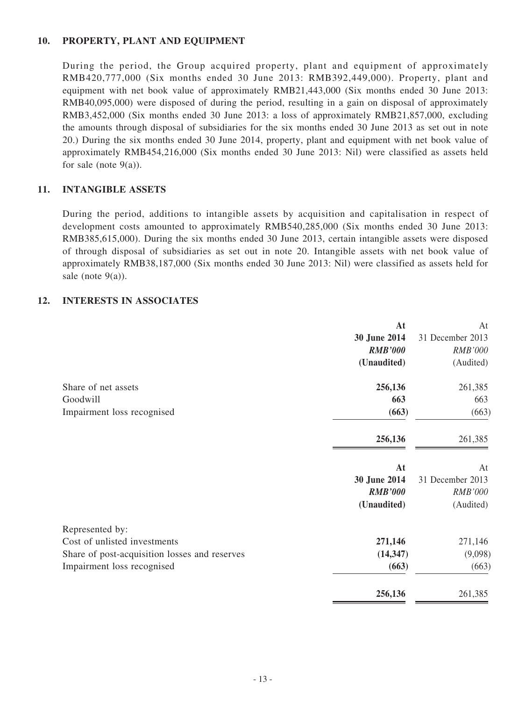# **10. PROPERTY, PLANT AND EQUIPMENT**

During the period, the Group acquired property, plant and equipment of approximately RMB420,777,000 (Six months ended 30 June 2013: RMB392,449,000). Property, plant and equipment with net book value of approximately RMB21,443,000 (Six months ended 30 June 2013: RMB40,095,000) were disposed of during the period, resulting in a gain on disposal of approximately RMB3,452,000 (Six months ended 30 June 2013: a loss of approximately RMB21,857,000, excluding the amounts through disposal of subsidiaries for the six months ended 30 June 2013 as set out in note 20.) During the six months ended 30 June 2014, property, plant and equipment with net book value of approximately RMB454,216,000 (Six months ended 30 June 2013: Nil) were classified as assets held for sale (note  $9(a)$ ).

# **11. INTANGIBLE ASSETS**

During the period, additions to intangible assets by acquisition and capitalisation in respect of development costs amounted to approximately RMB540,285,000 (Six months ended 30 June 2013: RMB385,615,000). During the six months ended 30 June 2013, certain intangible assets were disposed of through disposal of subsidiaries as set out in note 20. Intangible assets with net book value of approximately RMB38,187,000 (Six months ended 30 June 2013: Nil) were classified as assets held for sale (note  $9(a)$ ).

# **12. INTERESTS IN ASSOCIATES**

|                                               | At             | At               |
|-----------------------------------------------|----------------|------------------|
|                                               | 30 June 2014   | 31 December 2013 |
|                                               | <b>RMB'000</b> | <b>RMB'000</b>   |
|                                               | (Unaudited)    | (Audited)        |
| Share of net assets                           | 256,136        | 261,385          |
| Goodwill                                      | 663            | 663              |
| Impairment loss recognised                    | (663)          | (663)            |
|                                               | 256,136        | 261,385          |
|                                               | At             | At               |
|                                               | 30 June 2014   | 31 December 2013 |
|                                               | <b>RMB'000</b> | <b>RMB'000</b>   |
|                                               | (Unaudited)    | (Audited)        |
| Represented by:                               |                |                  |
| Cost of unlisted investments                  | 271,146        | 271,146          |
| Share of post-acquisition losses and reserves | (14, 347)      | (9,098)          |
| Impairment loss recognised                    | (663)          | (663)            |
|                                               | 256,136        | 261,385          |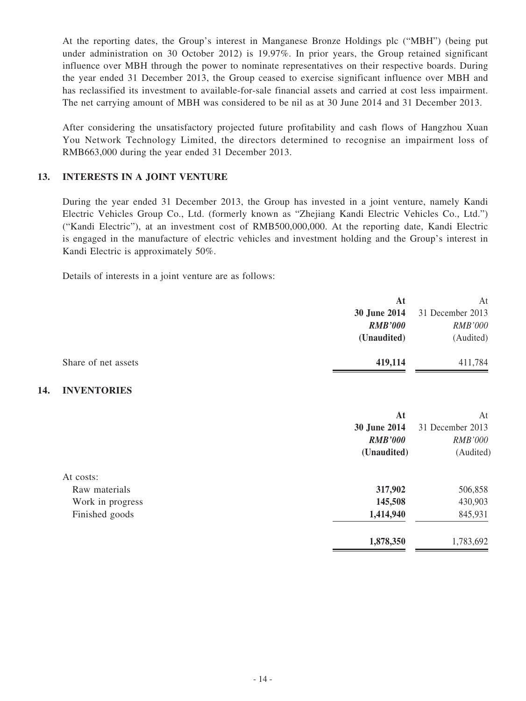At the reporting dates, the Group's interest in Manganese Bronze Holdings plc ("MBH") (being put under administration on 30 October 2012) is 19.97%. In prior years, the Group retained significant influence over MBH through the power to nominate representatives on their respective boards. During the year ended 31 December 2013, the Group ceased to exercise significant influence over MBH and has reclassified its investment to available-for-sale financial assets and carried at cost less impairment. The net carrying amount of MBH was considered to be nil as at 30 June 2014 and 31 December 2013.

After considering the unsatisfactory projected future profitability and cash flows of Hangzhou Xuan You Network Technology Limited, the directors determined to recognise an impairment loss of RMB663,000 during the year ended 31 December 2013.

### **13. INTERESTS IN A JOINT VENTURE**

During the year ended 31 December 2013, the Group has invested in a joint venture, namely Kandi Electric Vehicles Group Co., Ltd. (formerly known as "Zhejiang Kandi Electric Vehicles Co., Ltd.") ("Kandi Electric"), at an investment cost of RMB500,000,000. At the reporting date, Kandi Electric is engaged in the manufacture of electric vehicles and investment holding and the Group's interest in Kandi Electric is approximately 50%.

Details of interests in a joint venture are as follows:

|     |                     | At             | At               |
|-----|---------------------|----------------|------------------|
|     |                     | 30 June 2014   | 31 December 2013 |
|     |                     | <b>RMB'000</b> | <b>RMB'000</b>   |
|     |                     | (Unaudited)    | (Audited)        |
|     | Share of net assets | 419,114        | 411,784          |
| 14. | <b>INVENTORIES</b>  |                |                  |
|     |                     | At             | At               |
|     |                     | 30 June 2014   | 31 December 2013 |
|     |                     | <b>RMB'000</b> | RMB'000          |
|     |                     | (Unaudited)    | (Audited)        |
|     | At costs:           |                |                  |
|     | Raw materials       | 317,902        | 506,858          |
|     | Work in progress    | 145,508        | 430,903          |
|     | Finished goods      | 1,414,940      | 845,931          |
|     |                     | 1,878,350      | 1,783,692        |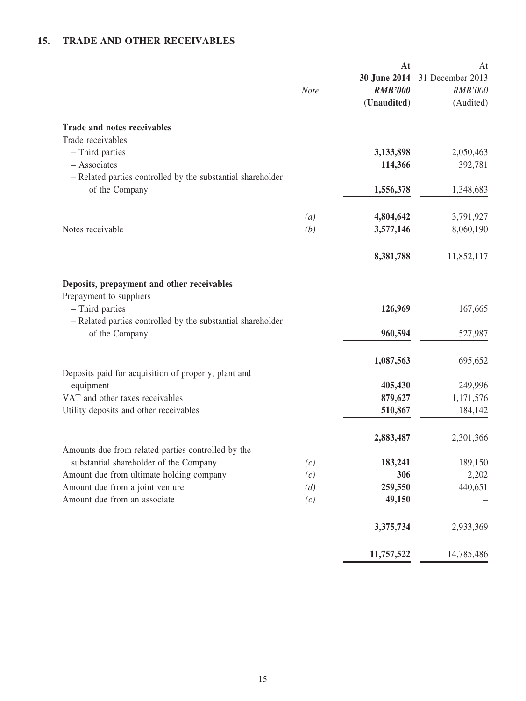# **15. TRADE AND OTHER RECEIVABLES**

| At<br>30 June 2014<br><b>RMB'000</b><br><b>Note</b><br>(Unaudited)                                             | At<br>31 December 2013<br><b>RMB'000</b><br>(Audited) |
|----------------------------------------------------------------------------------------------------------------|-------------------------------------------------------|
| Trade and notes receivables                                                                                    |                                                       |
| Trade receivables<br>- Third parties<br>3,133,898                                                              | 2,050,463                                             |
| - Associates<br>114,366                                                                                        | 392,781                                               |
| - Related parties controlled by the substantial shareholder                                                    |                                                       |
| of the Company<br>1,556,378                                                                                    | 1,348,683                                             |
| 4,804,642<br>$\left(a\right)$                                                                                  | 3,791,927                                             |
| Notes receivable<br>3,577,146<br>(b)                                                                           | 8,060,190                                             |
| 8,381,788                                                                                                      | 11,852,117                                            |
| Deposits, prepayment and other receivables                                                                     |                                                       |
| Prepayment to suppliers<br>- Third parties<br>126,969                                                          | 167,665                                               |
| - Related parties controlled by the substantial shareholder<br>960,594<br>of the Company                       | 527,987                                               |
| 1,087,563                                                                                                      | 695,652                                               |
| Deposits paid for acquisition of property, plant and<br>equipment<br>405,430                                   | 249,996                                               |
| VAT and other taxes receivables<br>879,627                                                                     | 1,171,576                                             |
| Utility deposits and other receivables<br>510,867                                                              | 184,142                                               |
| 2,883,487                                                                                                      | 2,301,366                                             |
| Amounts due from related parties controlled by the<br>substantial shareholder of the Company<br>183,241<br>(c) | 189,150                                               |
| Amount due from ultimate holding company<br>306<br>(c)                                                         | 2,202                                                 |
| 259,550<br>Amount due from a joint venture<br>(d)                                                              | 440,651                                               |
| Amount due from an associate<br>49,150<br>(c)                                                                  |                                                       |
| 3,375,734                                                                                                      | 2,933,369                                             |
| 11,757,522                                                                                                     | 14,785,486                                            |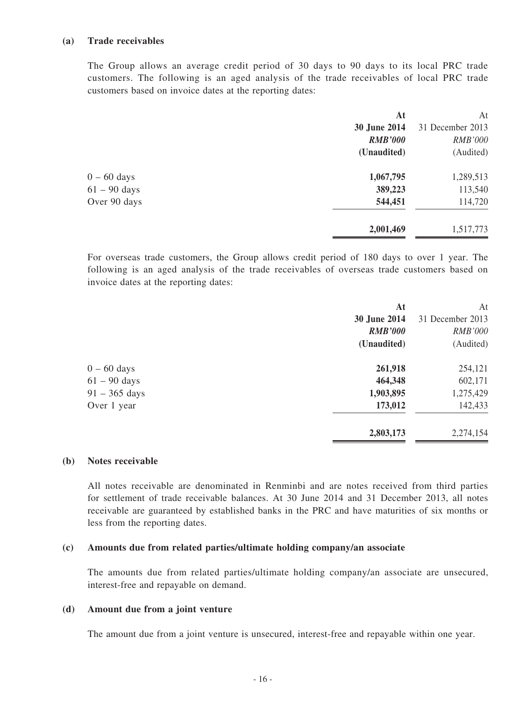#### **(a) Trade receivables**

The Group allows an average credit period of 30 days to 90 days to its local PRC trade customers. The following is an aged analysis of the trade receivables of local PRC trade customers based on invoice dates at the reporting dates:

|                | At             | At               |
|----------------|----------------|------------------|
|                | 30 June 2014   | 31 December 2013 |
|                | <b>RMB'000</b> | <b>RMB'000</b>   |
|                | (Unaudited)    | (Audited)        |
| $0 - 60$ days  | 1,067,795      | 1,289,513        |
| $61 - 90$ days | 389,223        | 113,540          |
| Over 90 days   | 544,451        | 114,720          |
|                | 2,001,469      | 1,517,773        |
|                |                |                  |

For overseas trade customers, the Group allows credit period of 180 days to over 1 year. The following is an aged analysis of the trade receivables of overseas trade customers based on invoice dates at the reporting dates:

|                         | At             | At               |
|-------------------------|----------------|------------------|
|                         | 30 June 2014   | 31 December 2013 |
|                         | <b>RMB'000</b> | <b>RMB'000</b>   |
|                         | (Unaudited)    | (Audited)        |
| $0 - 60$ days           | 261,918        | 254,121          |
| $61 - 90$ days          | 464,348        | 602,171          |
| $91 - 365 \text{ days}$ | 1,903,895      | 1,275,429        |
| Over 1 year             | 173,012        | 142,433          |
|                         | 2,803,173      | 2,274,154        |

#### **(b) Notes receivable**

All notes receivable are denominated in Renminbi and are notes received from third parties for settlement of trade receivable balances. At 30 June 2014 and 31 December 2013, all notes receivable are guaranteed by established banks in the PRC and have maturities of six months or less from the reporting dates.

#### **(c) Amounts due from related parties/ultimate holding company/an associate**

The amounts due from related parties/ultimate holding company/an associate are unsecured, interest-free and repayable on demand.

#### **(d) Amount due from a joint venture**

The amount due from a joint venture is unsecured, interest-free and repayable within one year.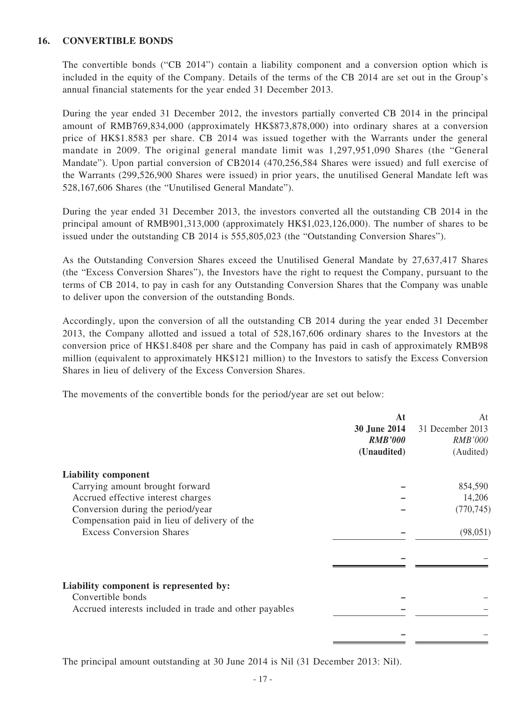### **16. CONVERTIBLE BONDS**

The convertible bonds ("CB 2014") contain a liability component and a conversion option which is included in the equity of the Company. Details of the terms of the CB 2014 are set out in the Group's annual financial statements for the year ended 31 December 2013.

During the year ended 31 December 2012, the investors partially converted CB 2014 in the principal amount of RMB769,834,000 (approximately HK\$873,878,000) into ordinary shares at a conversion price of HK\$1.8583 per share. CB 2014 was issued together with the Warrants under the general mandate in 2009. The original general mandate limit was 1,297,951,090 Shares (the "General Mandate"). Upon partial conversion of CB2014 (470,256,584 Shares were issued) and full exercise of the Warrants (299,526,900 Shares were issued) in prior years, the unutilised General Mandate left was 528,167,606 Shares (the "Unutilised General Mandate").

During the year ended 31 December 2013, the investors converted all the outstanding CB 2014 in the principal amount of RMB901,313,000 (approximately HK\$1,023,126,000). The number of shares to be issued under the outstanding CB 2014 is 555,805,023 (the "Outstanding Conversion Shares").

As the Outstanding Conversion Shares exceed the Unutilised General Mandate by 27,637,417 Shares (the "Excess Conversion Shares"), the Investors have the right to request the Company, pursuant to the terms of CB 2014, to pay in cash for any Outstanding Conversion Shares that the Company was unable to deliver upon the conversion of the outstanding Bonds.

Accordingly, upon the conversion of all the outstanding CB 2014 during the year ended 31 December 2013, the Company allotted and issued a total of 528,167,606 ordinary shares to the Investors at the conversion price of HK\$1.8408 per share and the Company has paid in cash of approximately RMB98 million (equivalent to approximately HK\$121 million) to the Investors to satisfy the Excess Conversion Shares in lieu of delivery of the Excess Conversion Shares.

The movements of the convertible bonds for the period/year are set out below:

|                                                                                   | At<br>30 June 2014<br><b>RMB'000</b><br>(Unaudited) | At<br>31 December 2013<br><i>RMB'000</i><br>(Audited) |
|-----------------------------------------------------------------------------------|-----------------------------------------------------|-------------------------------------------------------|
| <b>Liability component</b>                                                        |                                                     |                                                       |
| Carrying amount brought forward                                                   |                                                     | 854,590                                               |
| Accrued effective interest charges                                                |                                                     | 14,206                                                |
| Conversion during the period/year<br>Compensation paid in lieu of delivery of the |                                                     | (770, 745)                                            |
| <b>Excess Conversion Shares</b>                                                   |                                                     | (98, 051)                                             |
|                                                                                   |                                                     |                                                       |
| Liability component is represented by:<br>Convertible bonds                       |                                                     |                                                       |
| Accrued interests included in trade and other payables                            |                                                     |                                                       |
|                                                                                   |                                                     |                                                       |

The principal amount outstanding at 30 June 2014 is Nil (31 December 2013: Nil).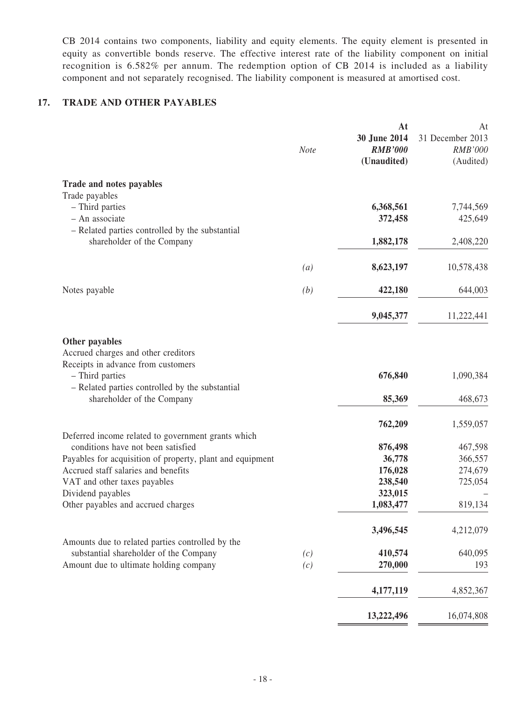CB 2014 contains two components, liability and equity elements. The equity element is presented in equity as convertible bonds reserve. The effective interest rate of the liability component on initial recognition is 6.582% per annum. The redemption option of CB 2014 is included as a liability component and not separately recognised. The liability component is measured at amortised cost.

# **17. TRADE AND OTHER PAYABLES**

|                                                                                                                                                                   | <b>Note</b>      | At<br>30 June 2014<br><b>RMB'000</b><br>(Unaudited) | At<br>31 December 2013<br><b>RMB'000</b><br>(Audited) |
|-------------------------------------------------------------------------------------------------------------------------------------------------------------------|------------------|-----------------------------------------------------|-------------------------------------------------------|
| Trade and notes payables                                                                                                                                          |                  |                                                     |                                                       |
| Trade payables                                                                                                                                                    |                  |                                                     |                                                       |
| - Third parties<br>- An associate                                                                                                                                 |                  | 6,368,561<br>372,458                                | 7,744,569<br>425,649                                  |
| - Related parties controlled by the substantial                                                                                                                   |                  |                                                     |                                                       |
| shareholder of the Company                                                                                                                                        |                  | 1,882,178                                           | 2,408,220                                             |
|                                                                                                                                                                   | $\left(a\right)$ | 8,623,197                                           | 10,578,438                                            |
| Notes payable                                                                                                                                                     | (b)              | 422,180                                             | 644,003                                               |
|                                                                                                                                                                   |                  | 9,045,377                                           | 11,222,441                                            |
| Other payables<br>Accrued charges and other creditors<br>Receipts in advance from customers<br>- Third parties<br>- Related parties controlled by the substantial |                  | 676,840                                             | 1,090,384                                             |
| shareholder of the Company                                                                                                                                        |                  | 85,369                                              | 468,673                                               |
| Deferred income related to government grants which                                                                                                                |                  | 762,209                                             | 1,559,057                                             |
| conditions have not been satisfied                                                                                                                                |                  | 876,498                                             | 467,598                                               |
| Payables for acquisition of property, plant and equipment                                                                                                         |                  | 36,778                                              | 366,557                                               |
| Accrued staff salaries and benefits                                                                                                                               |                  | 176,028                                             | 274,679                                               |
| VAT and other taxes payables<br>Dividend payables                                                                                                                 |                  | 238,540<br>323,015                                  | 725,054                                               |
| Other payables and accrued charges                                                                                                                                |                  | 1,083,477                                           | 819,134                                               |
| Amounts due to related parties controlled by the                                                                                                                  |                  | 3,496,545                                           | 4,212,079                                             |
| substantial shareholder of the Company                                                                                                                            | (c)              | 410,574                                             | 640,095                                               |
| Amount due to ultimate holding company                                                                                                                            | (c)              | 270,000                                             | 193                                                   |
|                                                                                                                                                                   |                  | 4,177,119                                           | 4,852,367                                             |
|                                                                                                                                                                   |                  | 13,222,496                                          | 16,074,808                                            |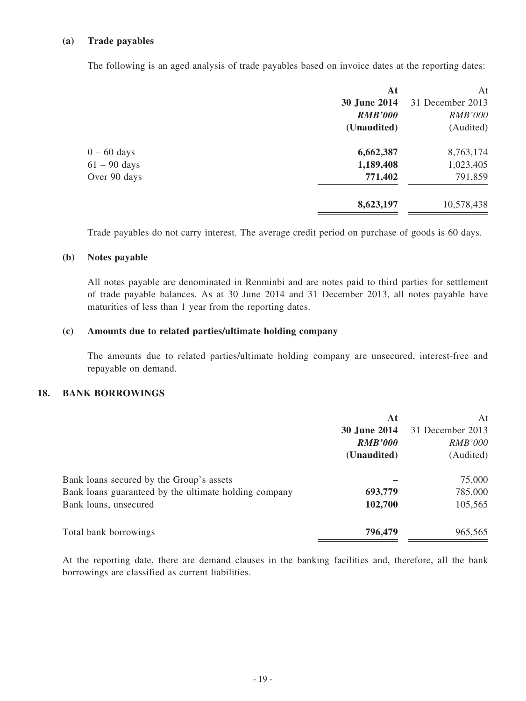#### **(a) Trade payables**

The following is an aged analysis of trade payables based on invoice dates at the reporting dates:

|                | At             | At               |
|----------------|----------------|------------------|
|                | 30 June 2014   | 31 December 2013 |
|                | <b>RMB'000</b> | <b>RMB'000</b>   |
|                | (Unaudited)    | (Audited)        |
| $0 - 60$ days  | 6,662,387      | 8,763,174        |
| $61 - 90$ days | 1,189,408      | 1,023,405        |
| Over 90 days   | 771,402        | 791,859          |
|                | 8,623,197      | 10,578,438       |

Trade payables do not carry interest. The average credit period on purchase of goods is 60 days.

#### **(b) Notes payable**

All notes payable are denominated in Renminbi and are notes paid to third parties for settlement of trade payable balances. As at 30 June 2014 and 31 December 2013, all notes payable have maturities of less than 1 year from the reporting dates.

#### **(c) Amounts due to related parties/ultimate holding company**

The amounts due to related parties/ultimate holding company are unsecured, interest-free and repayable on demand.

#### **18. BANK BORROWINGS**

|                                                       | At             | At               |
|-------------------------------------------------------|----------------|------------------|
|                                                       | 30 June 2014   | 31 December 2013 |
|                                                       | <b>RMB'000</b> | <i>RMB'000</i>   |
|                                                       | (Unaudited)    | (Audited)        |
| Bank loans secured by the Group's assets              |                | 75,000           |
| Bank loans guaranteed by the ultimate holding company | 693,779        | 785,000          |
| Bank loans, unsecured                                 | 102,700        | 105,565          |
| Total bank borrowings                                 | 796,479        | 965,565          |

At the reporting date, there are demand clauses in the banking facilities and, therefore, all the bank borrowings are classified as current liabilities.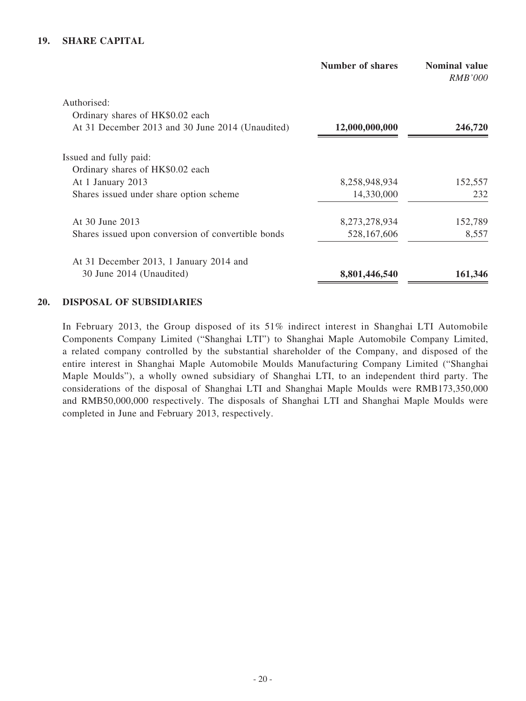# **19. SHARE CAPITAL**

|                                                    | Number of shares | <b>Nominal value</b><br><i>RMB'000</i> |
|----------------------------------------------------|------------------|----------------------------------------|
| Authorised:                                        |                  |                                        |
| Ordinary shares of HK\$0.02 each                   |                  |                                        |
| At 31 December 2013 and 30 June 2014 (Unaudited)   | 12,000,000,000   | 246,720                                |
| Issued and fully paid:                             |                  |                                        |
| Ordinary shares of HK\$0.02 each                   |                  |                                        |
| At 1 January 2013                                  | 8,258,948,934    | 152,557                                |
| Shares issued under share option scheme            | 14,330,000       | 232                                    |
| At 30 June 2013                                    | 8,273,278,934    | 152,789                                |
| Shares issued upon conversion of convertible bonds | 528,167,606      | 8,557                                  |
| At 31 December 2013, 1 January 2014 and            |                  |                                        |
| 30 June 2014 (Unaudited)                           | 8,801,446,540    | 161,346                                |

#### **20. DISPOSAL OF SUBSIDIARIES**

In February 2013, the Group disposed of its 51% indirect interest in Shanghai LTI Automobile Components Company Limited ("Shanghai LTI") to Shanghai Maple Automobile Company Limited, a related company controlled by the substantial shareholder of the Company, and disposed of the entire interest in Shanghai Maple Automobile Moulds Manufacturing Company Limited ("Shanghai Maple Moulds"), a wholly owned subsidiary of Shanghai LTI, to an independent third party. The considerations of the disposal of Shanghai LTI and Shanghai Maple Moulds were RMB173,350,000 and RMB50,000,000 respectively. The disposals of Shanghai LTI and Shanghai Maple Moulds were completed in June and February 2013, respectively.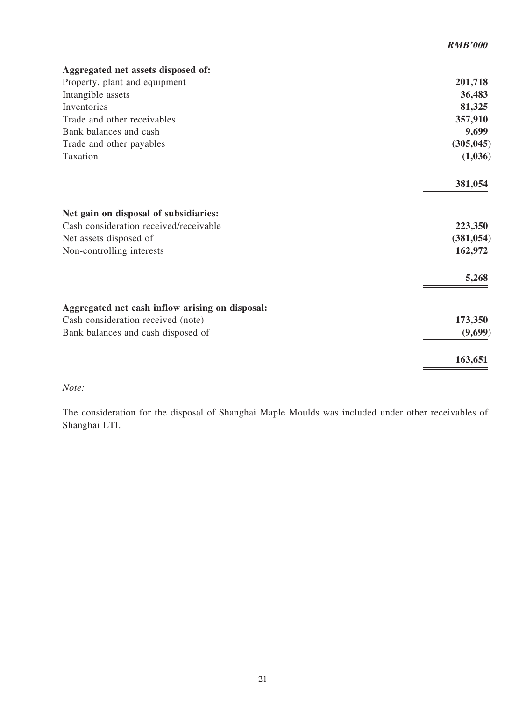|                                                 | <b>RMB'000</b> |
|-------------------------------------------------|----------------|
| Aggregated net assets disposed of:              |                |
| Property, plant and equipment                   | 201,718        |
| Intangible assets                               | 36,483         |
| Inventories                                     | 81,325         |
| Trade and other receivables                     | 357,910        |
| Bank balances and cash                          | 9,699          |
| Trade and other payables                        | (305, 045)     |
| Taxation                                        | (1,036)        |
|                                                 | 381,054        |
| Net gain on disposal of subsidiaries:           |                |
| Cash consideration received/receivable          | 223,350        |
| Net assets disposed of                          | (381, 054)     |
| Non-controlling interests                       | 162,972        |
|                                                 | 5,268          |
| Aggregated net cash inflow arising on disposal: |                |
| Cash consideration received (note)              | 173,350        |
| Bank balances and cash disposed of              | (9,699)        |
|                                                 | 163,651        |

# *Note:*

The consideration for the disposal of Shanghai Maple Moulds was included under other receivables of Shanghai LTI.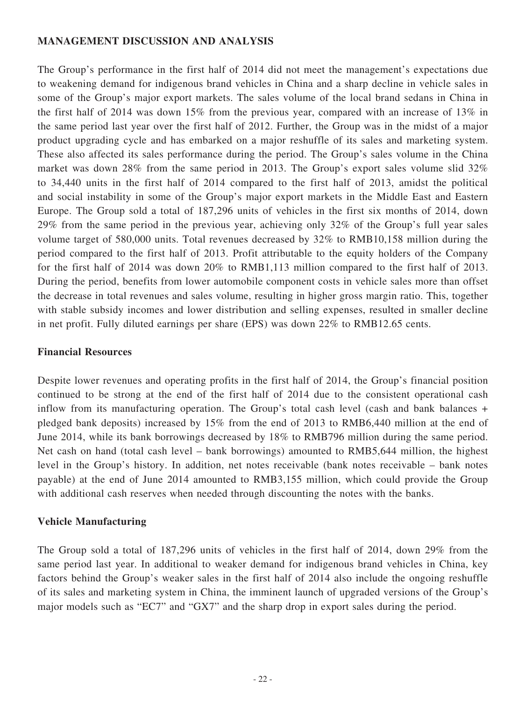# **MANAGEMENT DISCUSSION AND ANALYSIS**

The Group's performance in the first half of 2014 did not meet the management's expectations due to weakening demand for indigenous brand vehicles in China and a sharp decline in vehicle sales in some of the Group's major export markets. The sales volume of the local brand sedans in China in the first half of 2014 was down 15% from the previous year, compared with an increase of 13% in the same period last year over the first half of 2012. Further, the Group was in the midst of a major product upgrading cycle and has embarked on a major reshuffle of its sales and marketing system. These also affected its sales performance during the period. The Group's sales volume in the China market was down 28% from the same period in 2013. The Group's export sales volume slid 32% to 34,440 units in the first half of 2014 compared to the first half of 2013, amidst the political and social instability in some of the Group's major export markets in the Middle East and Eastern Europe. The Group sold a total of 187,296 units of vehicles in the first six months of 2014, down 29% from the same period in the previous year, achieving only 32% of the Group's full year sales volume target of 580,000 units. Total revenues decreased by 32% to RMB10,158 million during the period compared to the first half of 2013. Profit attributable to the equity holders of the Company for the first half of 2014 was down 20% to RMB1,113 million compared to the first half of 2013. During the period, benefits from lower automobile component costs in vehicle sales more than offset the decrease in total revenues and sales volume, resulting in higher gross margin ratio. This, together with stable subsidy incomes and lower distribution and selling expenses, resulted in smaller decline in net profit. Fully diluted earnings per share (EPS) was down 22% to RMB12.65 cents.

# **Financial Resources**

Despite lower revenues and operating profits in the first half of 2014, the Group's financial position continued to be strong at the end of the first half of 2014 due to the consistent operational cash inflow from its manufacturing operation. The Group's total cash level (cash and bank balances + pledged bank deposits) increased by 15% from the end of 2013 to RMB6,440 million at the end of June 2014, while its bank borrowings decreased by 18% to RMB796 million during the same period. Net cash on hand (total cash level – bank borrowings) amounted to RMB5,644 million, the highest level in the Group's history. In addition, net notes receivable (bank notes receivable – bank notes payable) at the end of June 2014 amounted to RMB3,155 million, which could provide the Group with additional cash reserves when needed through discounting the notes with the banks.

# **Vehicle Manufacturing**

The Group sold a total of 187,296 units of vehicles in the first half of 2014, down 29% from the same period last year. In additional to weaker demand for indigenous brand vehicles in China, key factors behind the Group's weaker sales in the first half of 2014 also include the ongoing reshuffle of its sales and marketing system in China, the imminent launch of upgraded versions of the Group's major models such as "EC7" and "GX7" and the sharp drop in export sales during the period.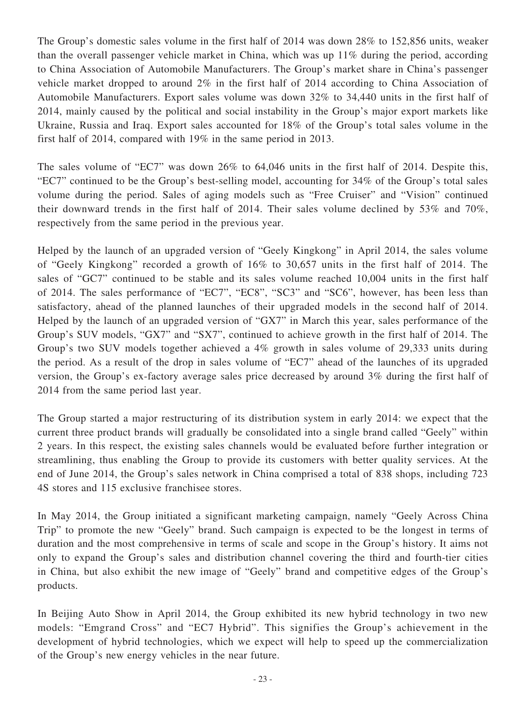The Group's domestic sales volume in the first half of 2014 was down 28% to 152,856 units, weaker than the overall passenger vehicle market in China, which was up 11% during the period, according to China Association of Automobile Manufacturers. The Group's market share in China's passenger vehicle market dropped to around 2% in the first half of 2014 according to China Association of Automobile Manufacturers. Export sales volume was down 32% to 34,440 units in the first half of 2014, mainly caused by the political and social instability in the Group's major export markets like Ukraine, Russia and Iraq. Export sales accounted for 18% of the Group's total sales volume in the first half of 2014, compared with 19% in the same period in 2013.

The sales volume of "EC7" was down 26% to 64,046 units in the first half of 2014. Despite this, "EC7" continued to be the Group's best-selling model, accounting for 34% of the Group's total sales volume during the period. Sales of aging models such as "Free Cruiser" and "Vision" continued their downward trends in the first half of 2014. Their sales volume declined by 53% and 70%, respectively from the same period in the previous year.

Helped by the launch of an upgraded version of "Geely Kingkong" in April 2014, the sales volume of "Geely Kingkong" recorded a growth of 16% to 30,657 units in the first half of 2014. The sales of "GC7" continued to be stable and its sales volume reached 10,004 units in the first half of 2014. The sales performance of "EC7", "EC8", "SC3" and "SC6", however, has been less than satisfactory, ahead of the planned launches of their upgraded models in the second half of 2014. Helped by the launch of an upgraded version of "GX7" in March this year, sales performance of the Group's SUV models, "GX7" and "SX7", continued to achieve growth in the first half of 2014. The Group's two SUV models together achieved a 4% growth in sales volume of 29,333 units during the period. As a result of the drop in sales volume of "EC7" ahead of the launches of its upgraded version, the Group's ex-factory average sales price decreased by around 3% during the first half of 2014 from the same period last year.

The Group started a major restructuring of its distribution system in early 2014: we expect that the current three product brands will gradually be consolidated into a single brand called "Geely" within 2 years. In this respect, the existing sales channels would be evaluated before further integration or streamlining, thus enabling the Group to provide its customers with better quality services. At the end of June 2014, the Group's sales network in China comprised a total of 838 shops, including 723 4S stores and 115 exclusive franchisee stores.

In May 2014, the Group initiated a significant marketing campaign, namely "Geely Across China Trip" to promote the new "Geely" brand. Such campaign is expected to be the longest in terms of duration and the most comprehensive in terms of scale and scope in the Group's history. It aims not only to expand the Group's sales and distribution channel covering the third and fourth-tier cities in China, but also exhibit the new image of "Geely" brand and competitive edges of the Group's products.

In Beijing Auto Show in April 2014, the Group exhibited its new hybrid technology in two new models: "Emgrand Cross" and "EC7 Hybrid". This signifies the Group's achievement in the development of hybrid technologies, which we expect will help to speed up the commercialization of the Group's new energy vehicles in the near future.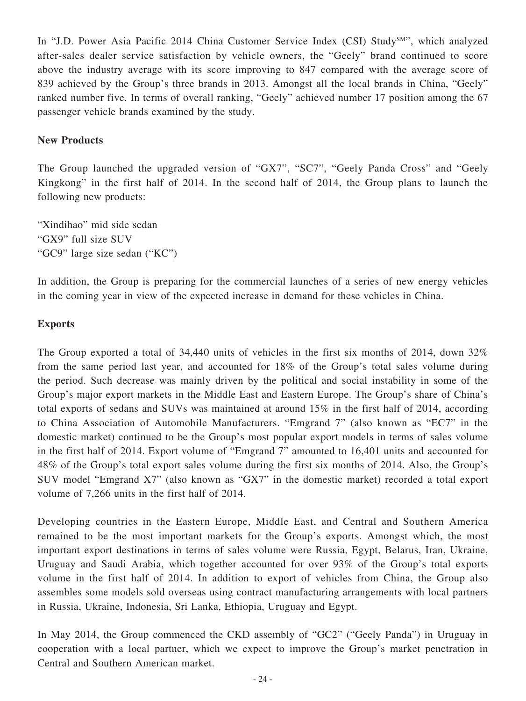In "J.D. Power Asia Pacific 2014 China Customer Service Index (CSI) Study<sup>SM"</sup>, which analyzed after-sales dealer service satisfaction by vehicle owners, the "Geely" brand continued to score above the industry average with its score improving to 847 compared with the average score of 839 achieved by the Group's three brands in 2013. Amongst all the local brands in China, "Geely" ranked number five. In terms of overall ranking, "Geely" achieved number 17 position among the 67 passenger vehicle brands examined by the study.

# **New Products**

The Group launched the upgraded version of "GX7", "SC7", "Geely Panda Cross" and "Geely Kingkong" in the first half of 2014. In the second half of 2014, the Group plans to launch the following new products:

"Xindihao" mid side sedan "GX9" full size SUV "GC9" large size sedan ("KC")

In addition, the Group is preparing for the commercial launches of a series of new energy vehicles in the coming year in view of the expected increase in demand for these vehicles in China.

# **Exports**

The Group exported a total of 34,440 units of vehicles in the first six months of 2014, down 32% from the same period last year, and accounted for 18% of the Group's total sales volume during the period. Such decrease was mainly driven by the political and social instability in some of the Group's major export markets in the Middle East and Eastern Europe. The Group's share of China's total exports of sedans and SUVs was maintained at around 15% in the first half of 2014, according to China Association of Automobile Manufacturers. "Emgrand 7" (also known as "EC7" in the domestic market) continued to be the Group's most popular export models in terms of sales volume in the first half of 2014. Export volume of "Emgrand 7" amounted to 16,401 units and accounted for 48% of the Group's total export sales volume during the first six months of 2014. Also, the Group's SUV model "Emgrand X7" (also known as "GX7" in the domestic market) recorded a total export volume of 7,266 units in the first half of 2014.

Developing countries in the Eastern Europe, Middle East, and Central and Southern America remained to be the most important markets for the Group's exports. Amongst which, the most important export destinations in terms of sales volume were Russia, Egypt, Belarus, Iran, Ukraine, Uruguay and Saudi Arabia, which together accounted for over 93% of the Group's total exports volume in the first half of 2014. In addition to export of vehicles from China, the Group also assembles some models sold overseas using contract manufacturing arrangements with local partners in Russia, Ukraine, Indonesia, Sri Lanka, Ethiopia, Uruguay and Egypt.

In May 2014, the Group commenced the CKD assembly of "GC2" ("Geely Panda") in Uruguay in cooperation with a local partner, which we expect to improve the Group's market penetration in Central and Southern American market.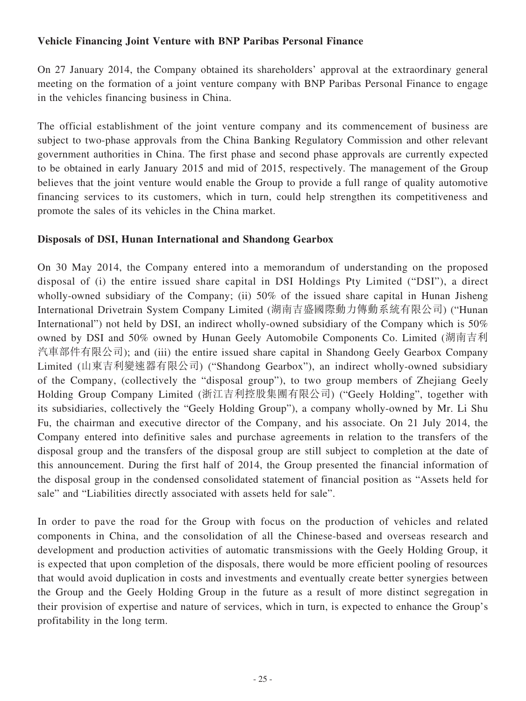# **Vehicle Financing Joint Venture with BNP Paribas Personal Finance**

On 27 January 2014, the Company obtained its shareholders' approval at the extraordinary general meeting on the formation of a joint venture company with BNP Paribas Personal Finance to engage in the vehicles financing business in China.

The official establishment of the joint venture company and its commencement of business are subject to two-phase approvals from the China Banking Regulatory Commission and other relevant government authorities in China. The first phase and second phase approvals are currently expected to be obtained in early January 2015 and mid of 2015, respectively. The management of the Group believes that the joint venture would enable the Group to provide a full range of quality automotive financing services to its customers, which in turn, could help strengthen its competitiveness and promote the sales of its vehicles in the China market.

# **Disposals of DSI, Hunan International and Shandong Gearbox**

On 30 May 2014, the Company entered into a memorandum of understanding on the proposed disposal of (i) the entire issued share capital in DSI Holdings Pty Limited ("DSI"), a direct wholly-owned subsidiary of the Company; (ii) 50% of the issued share capital in Hunan Jisheng International Drivetrain System Company Limited (湖南吉盛國際動力傳動系統有限公司) ("Hunan International") not held by DSI, an indirect wholly-owned subsidiary of the Company which is 50% owned by DSI and 50% owned by Hunan Geely Automobile Components Co. Limited (湖南吉利 汽車部件有限公司); and (iii) the entire issued share capital in Shandong Geely Gearbox Company Limited (山東吉利變速器有限公司) ("Shandong Gearbox"), an indirect wholly-owned subsidiary of the Company, (collectively the "disposal group"), to two group members of Zhejiang Geely Holding Group Company Limited (浙江吉利控股集團有限公司) ("Geely Holding", together with its subsidiaries, collectively the "Geely Holding Group"), a company wholly-owned by Mr. Li Shu Fu, the chairman and executive director of the Company, and his associate. On 21 July 2014, the Company entered into definitive sales and purchase agreements in relation to the transfers of the disposal group and the transfers of the disposal group are still subject to completion at the date of this announcement. During the first half of 2014, the Group presented the financial information of the disposal group in the condensed consolidated statement of financial position as "Assets held for sale" and "Liabilities directly associated with assets held for sale".

In order to pave the road for the Group with focus on the production of vehicles and related components in China, and the consolidation of all the Chinese-based and overseas research and development and production activities of automatic transmissions with the Geely Holding Group, it is expected that upon completion of the disposals, there would be more efficient pooling of resources that would avoid duplication in costs and investments and eventually create better synergies between the Group and the Geely Holding Group in the future as a result of more distinct segregation in their provision of expertise and nature of services, which in turn, is expected to enhance the Group's profitability in the long term.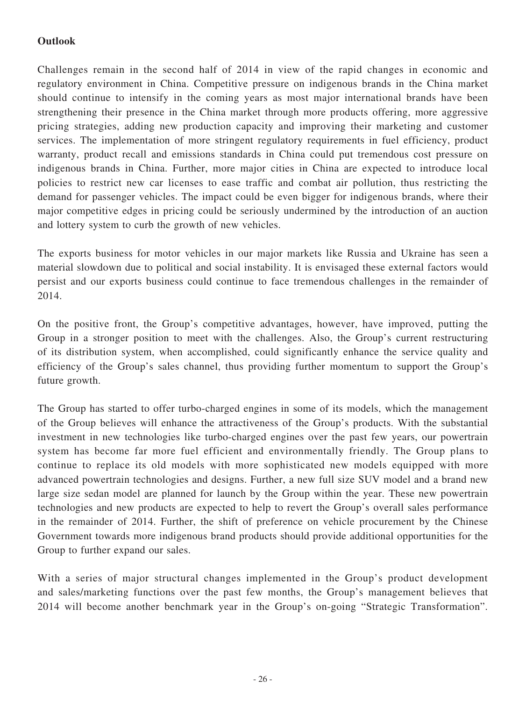# **Outlook**

Challenges remain in the second half of 2014 in view of the rapid changes in economic and regulatory environment in China. Competitive pressure on indigenous brands in the China market should continue to intensify in the coming years as most major international brands have been strengthening their presence in the China market through more products offering, more aggressive pricing strategies, adding new production capacity and improving their marketing and customer services. The implementation of more stringent regulatory requirements in fuel efficiency, product warranty, product recall and emissions standards in China could put tremendous cost pressure on indigenous brands in China. Further, more major cities in China are expected to introduce local policies to restrict new car licenses to ease traffic and combat air pollution, thus restricting the demand for passenger vehicles. The impact could be even bigger for indigenous brands, where their major competitive edges in pricing could be seriously undermined by the introduction of an auction and lottery system to curb the growth of new vehicles.

The exports business for motor vehicles in our major markets like Russia and Ukraine has seen a material slowdown due to political and social instability. It is envisaged these external factors would persist and our exports business could continue to face tremendous challenges in the remainder of 2014.

On the positive front, the Group's competitive advantages, however, have improved, putting the Group in a stronger position to meet with the challenges. Also, the Group's current restructuring of its distribution system, when accomplished, could significantly enhance the service quality and efficiency of the Group's sales channel, thus providing further momentum to support the Group's future growth.

The Group has started to offer turbo-charged engines in some of its models, which the management of the Group believes will enhance the attractiveness of the Group's products. With the substantial investment in new technologies like turbo-charged engines over the past few years, our powertrain system has become far more fuel efficient and environmentally friendly. The Group plans to continue to replace its old models with more sophisticated new models equipped with more advanced powertrain technologies and designs. Further, a new full size SUV model and a brand new large size sedan model are planned for launch by the Group within the year. These new powertrain technologies and new products are expected to help to revert the Group's overall sales performance in the remainder of 2014. Further, the shift of preference on vehicle procurement by the Chinese Government towards more indigenous brand products should provide additional opportunities for the Group to further expand our sales.

With a series of major structural changes implemented in the Group's product development and sales/marketing functions over the past few months, the Group's management believes that 2014 will become another benchmark year in the Group's on-going "Strategic Transformation".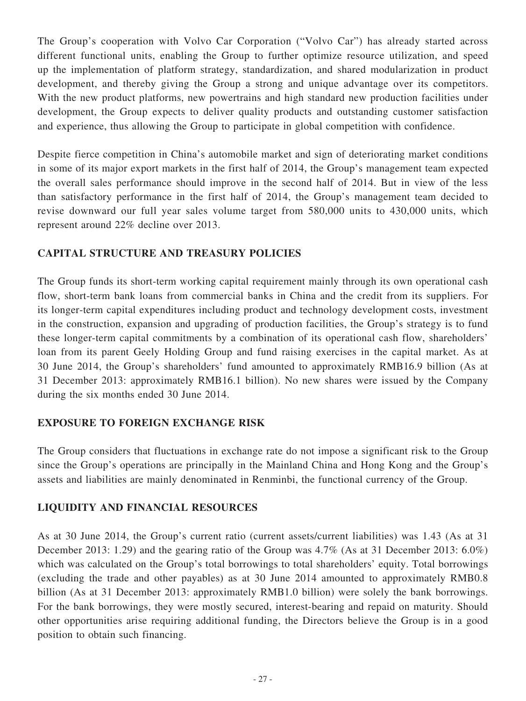The Group's cooperation with Volvo Car Corporation ("Volvo Car") has already started across different functional units, enabling the Group to further optimize resource utilization, and speed up the implementation of platform strategy, standardization, and shared modularization in product development, and thereby giving the Group a strong and unique advantage over its competitors. With the new product platforms, new powertrains and high standard new production facilities under development, the Group expects to deliver quality products and outstanding customer satisfaction and experience, thus allowing the Group to participate in global competition with confidence.

Despite fierce competition in China's automobile market and sign of deteriorating market conditions in some of its major export markets in the first half of 2014, the Group's management team expected the overall sales performance should improve in the second half of 2014. But in view of the less than satisfactory performance in the first half of 2014, the Group's management team decided to revise downward our full year sales volume target from 580,000 units to 430,000 units, which represent around 22% decline over 2013.

# **CAPITAL STRUCTURE AND TREASURY POLICIES**

The Group funds its short-term working capital requirement mainly through its own operational cash flow, short-term bank loans from commercial banks in China and the credit from its suppliers. For its longer-term capital expenditures including product and technology development costs, investment in the construction, expansion and upgrading of production facilities, the Group's strategy is to fund these longer-term capital commitments by a combination of its operational cash flow, shareholders' loan from its parent Geely Holding Group and fund raising exercises in the capital market. As at 30 June 2014, the Group's shareholders' fund amounted to approximately RMB16.9 billion (As at 31 December 2013: approximately RMB16.1 billion). No new shares were issued by the Company during the six months ended 30 June 2014.

# **EXPOSURE TO FOREIGN EXCHANGE RISK**

The Group considers that fluctuations in exchange rate do not impose a significant risk to the Group since the Group's operations are principally in the Mainland China and Hong Kong and the Group's assets and liabilities are mainly denominated in Renminbi, the functional currency of the Group.

# **LIQUIDITY AND FINANCIAL RESOURCES**

As at 30 June 2014, the Group's current ratio (current assets/current liabilities) was 1.43 (As at 31 December 2013: 1.29) and the gearing ratio of the Group was 4.7% (As at 31 December 2013: 6.0%) which was calculated on the Group's total borrowings to total shareholders' equity. Total borrowings (excluding the trade and other payables) as at 30 June 2014 amounted to approximately RMB0.8 billion (As at 31 December 2013: approximately RMB1.0 billion) were solely the bank borrowings. For the bank borrowings, they were mostly secured, interest-bearing and repaid on maturity. Should other opportunities arise requiring additional funding, the Directors believe the Group is in a good position to obtain such financing.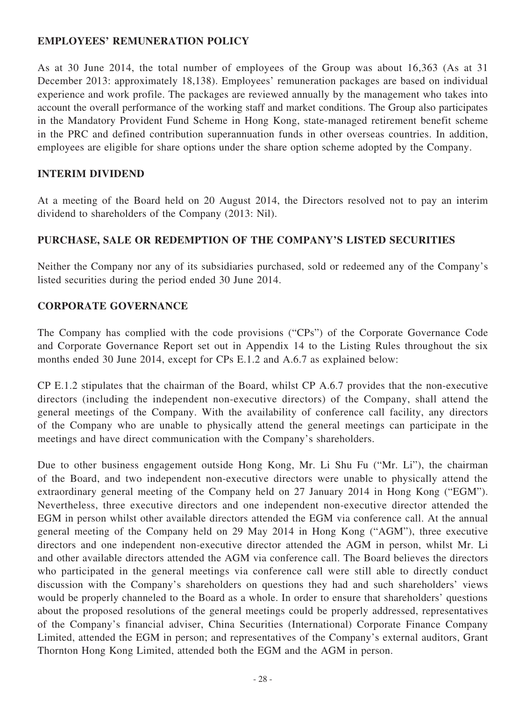# **EMPLOYEES' REMUNERATION POLICY**

As at 30 June 2014, the total number of employees of the Group was about 16,363 (As at 31 December 2013: approximately 18,138). Employees' remuneration packages are based on individual experience and work profile. The packages are reviewed annually by the management who takes into account the overall performance of the working staff and market conditions. The Group also participates in the Mandatory Provident Fund Scheme in Hong Kong, state-managed retirement benefit scheme in the PRC and defined contribution superannuation funds in other overseas countries. In addition, employees are eligible for share options under the share option scheme adopted by the Company.

# **INTERIM DIVIDEND**

At a meeting of the Board held on 20 August 2014, the Directors resolved not to pay an interim dividend to shareholders of the Company (2013: Nil).

# **PURCHASE, SALE OR REDEMPTION OF THE COMPANY'S LISTED SECURITIES**

Neither the Company nor any of its subsidiaries purchased, sold or redeemed any of the Company's listed securities during the period ended 30 June 2014.

# **CORPORATE GOVERNANCE**

The Company has complied with the code provisions ("CPs") of the Corporate Governance Code and Corporate Governance Report set out in Appendix 14 to the Listing Rules throughout the six months ended 30 June 2014, except for CPs E.1.2 and A.6.7 as explained below:

CP E.1.2 stipulates that the chairman of the Board, whilst CP A.6.7 provides that the non-executive directors (including the independent non-executive directors) of the Company, shall attend the general meetings of the Company. With the availability of conference call facility, any directors of the Company who are unable to physically attend the general meetings can participate in the meetings and have direct communication with the Company's shareholders.

Due to other business engagement outside Hong Kong, Mr. Li Shu Fu ("Mr. Li"), the chairman of the Board, and two independent non-executive directors were unable to physically attend the extraordinary general meeting of the Company held on 27 January 2014 in Hong Kong ("EGM"). Nevertheless, three executive directors and one independent non-executive director attended the EGM in person whilst other available directors attended the EGM via conference call. At the annual general meeting of the Company held on 29 May 2014 in Hong Kong ("AGM"), three executive directors and one independent non-executive director attended the AGM in person, whilst Mr. Li and other available directors attended the AGM via conference call. The Board believes the directors who participated in the general meetings via conference call were still able to directly conduct discussion with the Company's shareholders on questions they had and such shareholders' views would be properly channeled to the Board as a whole. In order to ensure that shareholders' questions about the proposed resolutions of the general meetings could be properly addressed, representatives of the Company's financial adviser, China Securities (International) Corporate Finance Company Limited, attended the EGM in person; and representatives of the Company's external auditors, Grant Thornton Hong Kong Limited, attended both the EGM and the AGM in person.